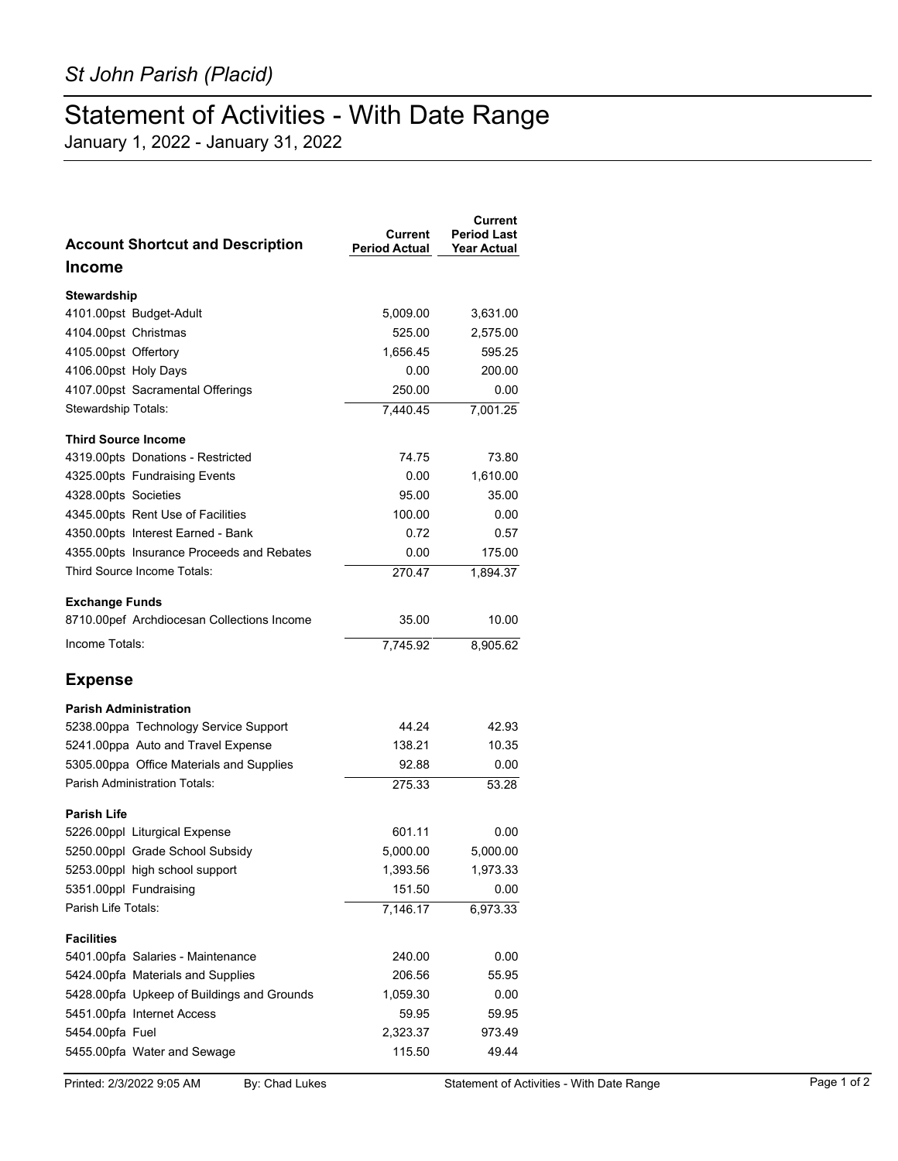## Statement of Activities - With Date Range

January 1, 2022 - January 31, 2022

| <b>Account Shortcut and Description</b>    | Current<br><b>Period Actual</b> | <b>Current</b><br><b>Period Last</b><br><b>Year Actual</b> |
|--------------------------------------------|---------------------------------|------------------------------------------------------------|
| <b>Income</b>                              |                                 |                                                            |
| <b>Stewardship</b>                         |                                 |                                                            |
| 4101.00pst Budget-Adult                    | 5,009.00                        | 3,631.00                                                   |
| 4104.00pst Christmas                       | 525.00                          | 2,575.00                                                   |
| 4105.00pst Offertory                       | 1,656.45                        | 595.25                                                     |
| 4106.00pst Holy Days                       | 0.00                            | 200.00                                                     |
| 4107.00pst Sacramental Offerings           | 250.00                          | 0.00                                                       |
| Stewardship Totals:                        | 7.440.45                        | 7,001.25                                                   |
| <b>Third Source Income</b>                 |                                 |                                                            |
| 4319.00pts Donations - Restricted          | 74.75                           | 73.80                                                      |
| 4325.00pts Fundraising Events              | 0.00                            | 1,610.00                                                   |
| 4328.00pts Societies                       | 95.00                           | 35.00                                                      |
| 4345.00pts Rent Use of Facilities          | 100.00                          | 0.00                                                       |
| 4350.00pts Interest Earned - Bank          | 0.72                            | 0.57                                                       |
| 4355.00pts Insurance Proceeds and Rebates  | 0.00                            | 175.00                                                     |
| Third Source Income Totals:                | 270.47                          | 1,894.37                                                   |
| <b>Exchange Funds</b>                      |                                 |                                                            |
| 8710.00pef Archdiocesan Collections Income | 35.00                           | 10.00                                                      |
| Income Totals:                             | 7,745.92                        | 8,905.62                                                   |
| <b>Expense</b>                             |                                 |                                                            |
| <b>Parish Administration</b>               |                                 |                                                            |
| 5238.00ppa Technology Service Support      | 44.24                           | 42.93                                                      |
| 5241.00ppa Auto and Travel Expense         | 138.21                          | 10.35                                                      |
| 5305.00ppa Office Materials and Supplies   | 92.88                           | 0.00                                                       |
| <b>Parish Administration Totals:</b>       | 275.33                          | 53.28                                                      |
| <b>Parish Life</b>                         |                                 |                                                            |
| 5226.00ppl Liturgical Expense              | 601.11                          | 0.00                                                       |
| 5250.00ppl Grade School Subsidy            | 5,000.00                        | 5,000.00                                                   |
| 5253.00ppl high school support             | 1,393.56                        | 1,973.33                                                   |
| 5351.00ppl Fundraising                     | 151.50                          | 0.00                                                       |
| Parish Life Totals:                        | 7,146.17                        | 6,973.33                                                   |
| <b>Facilities</b>                          |                                 |                                                            |
| 5401.00pfa Salaries - Maintenance          | 240.00                          | 0.00                                                       |
| 5424.00pfa Materials and Supplies          | 206.56                          | 55.95                                                      |
| 5428.00pfa Upkeep of Buildings and Grounds | 1,059.30                        | 0.00                                                       |
| 5451.00pfa Internet Access                 | 59.95                           | 59.95                                                      |
| 5454.00pfa Fuel                            | 2,323.37                        | 973.49                                                     |
| 5455.00pfa Water and Sewage                | 115.50                          | 49.44                                                      |